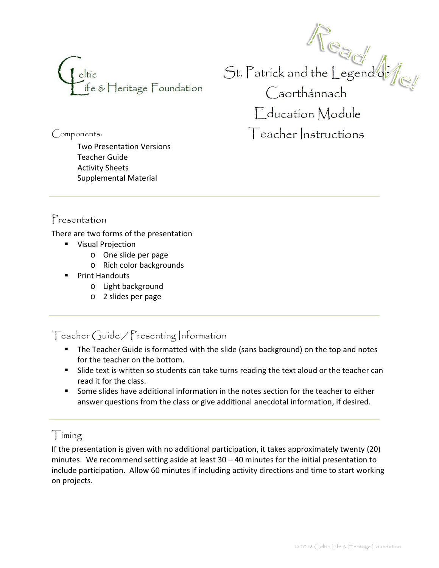

Components:

Two Presentation Versions Teacher Guide Activity Sheets Supplemental Material

 $St.$  Patrick and the Legend of  $\int_{\mathbb{C}}$ Caorthánnach Education Module Teacher Instructions

## Presentation

There are two forms of the presentation

- **•** Visual Projection
	- o One slide per page
	- o Rich color backgrounds
- **•** Print Handouts
	- o Light background
	- o 2 slides per page

Teacher Guide / Presenting Information

- **The Teacher Guide is formatted with the slide (sans background) on the top and notes** for the teacher on the bottom.
- **Buddem** Slide text is written so students can take turns reading the text aloud or the teacher can read it for the class.
- � Some slides have additional information in the notes section for the teacher to either answer questions from the class or give additional anecdotal information, if desired.

Timing

If the presentation is given with no additional participation, it takes approximately twenty (20) minutes. We recommend setting aside at least  $30 - 40$  minutes for the initial presentation to include participation. Allow 60 minutes if including activity directions and time to start working on projects.